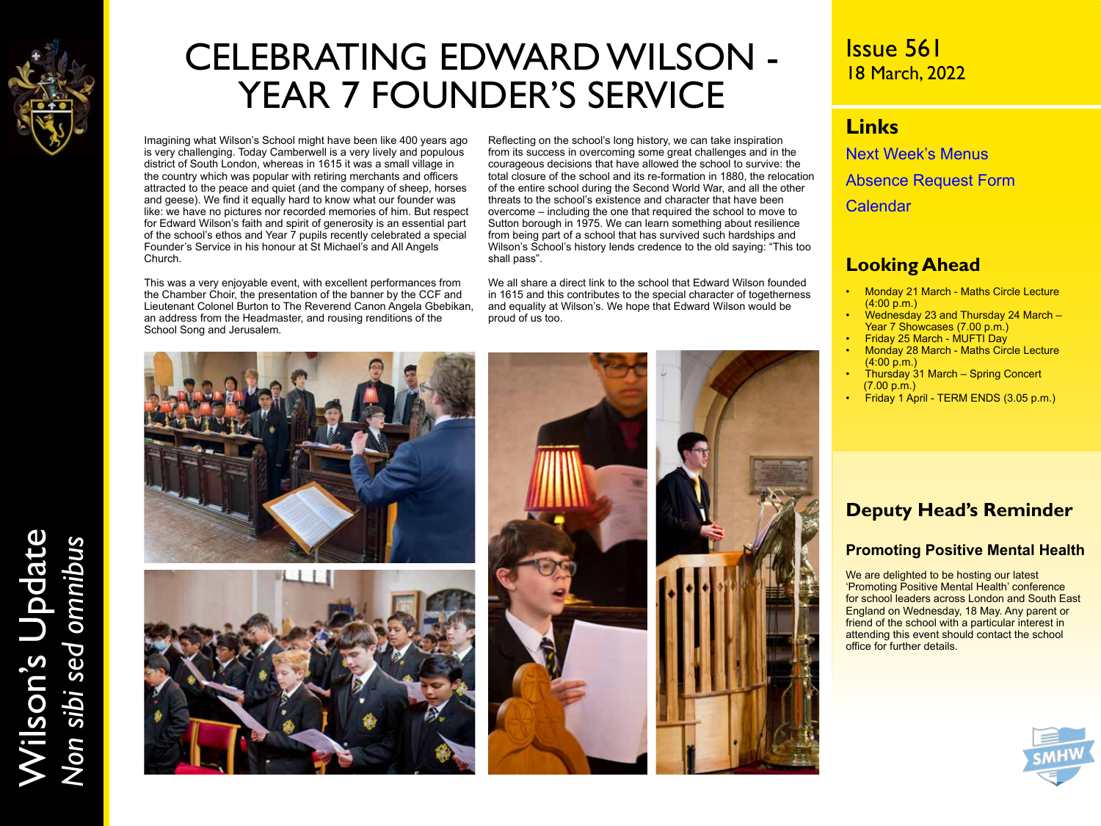

# CELEBRATING EDWARD WILSON - YEAR 7 FOUNDER'S SERVICE

Imagining what Wilson's School might have been like 400 years ago is very challenging. Today Camberwell is a very lively and populous district of South London, whereas in 1615 it was a small village in the country which was popular with retiring merchants and officers attracted to the peace and quiet (and the company of sheep, horses and geese). We find it equally hard to know what our founder was like: we have no pictures nor recorded memories of him. But respect for Edward Wilson's faith and spirit of generosity is an essential part of the school's ethos and Year 7 pupils recently celebrated a special Founder's Service in his honour at St Michael's and All Angels Church.

This was a very enjoyable event, with excellent performances from the Chamber Choir, the presentation of the banner by the CCF and Lieutenant Colonel Burton to The Reverend Canon Angela Gbebikan, an address from the Headmaster, and rousing renditions of the School Song and Jerusalem.

Reflecting on the school's long history, we can take inspiration from its success in overcoming some great challenges and in the courageous decisions that have allowed the school to survive: the total closure of the school and its re-formation in 1880, the relocation of the entire school during the Second World War, and all the other threats to the school's existence and character that have been overcome – including the one that required the school to move to Sutton borough in 1975. We can learn something about resilience from being part of a school that has survived such hardships and Wilson's School's history lends credence to the old saying: "This too shall pass".

We all share a direct link to the school that Edward Wilson founded in 1615 and this contributes to the special character of togetherness and equality at Wilson's. We hope that Edward Wilson would be proud of us too.



## Issue 561 18 March, 2022

### **Links**

[Next Week's Menus](https://www.wilsons.school/resources/Menus.pdf) [Absence Request Form](http://www.wilsons.school/resources/Leave-of-Absence-Form.pdf) **[Calendar](https://www.wilsons.school/calendar/)** 

### **Looking Ahead**

- Monday 21 March Maths Circle Lecture (4:00 p.m.)
- Wednesday 23 and Thursday 24 March Year 7 Showcases (7.00 p.m.)
- Friday 25 March MUFTI Day
- Monday 28 March Maths Circle Lecture (4:00 p.m.)
- Thursday 31 March Spring Concert  $(7.00 \,\mathrm{p.m.})$
- Friday 1 April TERM ENDS (3.05 p.m.)

### **Deputy Head's Reminder**

### **Promoting Positive Mental Health**

We are delighted to be hosting our latest 'Promoting Positive Mental Health' conference for school leaders across London and South East England on Wednesday, 18 May. Any parent or friend of the school with a particular interest in attending this event should contact the school office for further details.



Wilson's Update Wilson's Update<br>Non sibi sed omnibus *Non sibi sed omnibus*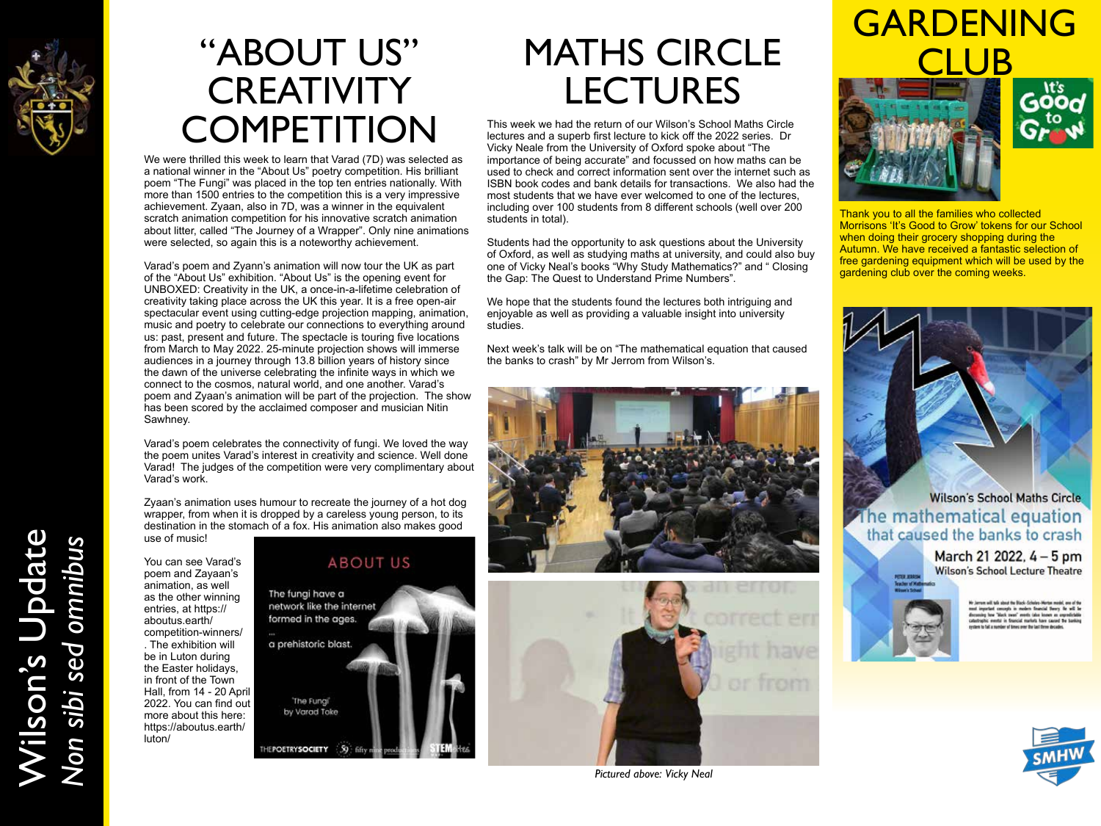

# "ABOUT US" **CREATIVITY COMPETITION**

We were thrilled this week to learn that Varad (7D) was selected as a national winner in the "About Us" poetry competition. His brilliant poem "The Fungi" was placed in the top ten entries nationally. With more than 1500 entries to the competition this is a very impressive achievement. Zyaan, also in 7D, was a winner in the equivalent scratch animation competition for his innovative scratch animation about litter, called "The Journey of a Wrapper". Only nine animations were selected, so again this is a noteworthy achievement.

Varad's poem and Zyann's animation will now tour the UK as part of the "About Us" exhibition. "About Us" is the opening event for UNBOXED: Creativity in the UK, a once-in-a-lifetime celebration of creativity taking place across the UK this year. It is a free open-air spectacular event using cutting-edge projection mapping, animation, music and poetry to celebrate our connections to everything around us: past, present and future. The spectacle is touring five locations from March to May 2022. 25-minute projection shows will immerse audiences in a journey through 13.8 billion years of history since the dawn of the universe celebrating the infinite ways in which we connect to the cosmos, natural world, and one another. Varad's poem and Zyaan's animation will be part of the projection. The show has been scored by the acclaimed composer and musician Nitin Sawhney.

Varad's poem celebrates the connectivity of fungi. We loved the way the poem unites Varad's interest in creativity and science. Well done Varad! The judges of the competition were very complimentary about Varad's work.

Zyaan's animation uses humour to recreate the journey of a hot dog wrapper, from when it is dropped by a careless young person, to its destination in the stomach of a fox. His animation also makes good use of music!

You can see Varad's poem and Zayaan's animation, as well as the other winning entries, at https:// aboutus.earth/ competition-winners/ . The exhibition will be in Luton during the Easter holidays, in front of the Town Hall, from 14 - 20 April 2022. You can find out more about this here: https://aboutus.earth/ luton/

### **ABOUT US**



# MATHS CIRCLE LECTURES

This week we had the return of our Wilson's School Maths Circle lectures and a superb first lecture to kick off the 2022 series. Dr Vicky Neale from the University of Oxford spoke about "The importance of being accurate" and focussed on how maths can be used to check and correct information sent over the internet such as ISBN book codes and bank details for transactions. We also had the most students that we have ever welcomed to one of the lectures, including over 100 students from 8 different schools (well over 200 students in total).

Students had the opportunity to ask questions about the University of Oxford, as well as studying maths at university, and could also buy one of Vicky Neal's books "Why Study Mathematics?" and " Closing the Gap: The Quest to Understand Prime Numbers".

We hope that the students found the lectures both intriguing and enjoyable as well as providing a valuable insight into university studies.

Next week's talk will be on "The mathematical equation that caused the banks to crash" by Mr Jerrom from Wilson's.





*Pictured above: Vicky Neal*

# GARDENING LUB

![](_page_1_Picture_18.jpeg)

![](_page_1_Picture_19.jpeg)

Thank you to all the families who collected Morrisons 'It's Good to Grow' tokens for our School when doing their grocery shopping during the Autumn. We have received a fantastic selection of free gardening equipment which will be used by the gardening club over the coming weeks.

![](_page_1_Picture_21.jpeg)

### **Wilson's School Maths Circle** The mathematical equation that caused the banks to crash

March 21 2022, 4 - 5 pm **Wilson's School Lecture Theatre** 

![](_page_1_Picture_24.jpeg)

![](_page_1_Picture_26.jpeg)

Wilson's Update Wilson's Update<br>Non sibi sed omnibus *Non sibi sed omnibus*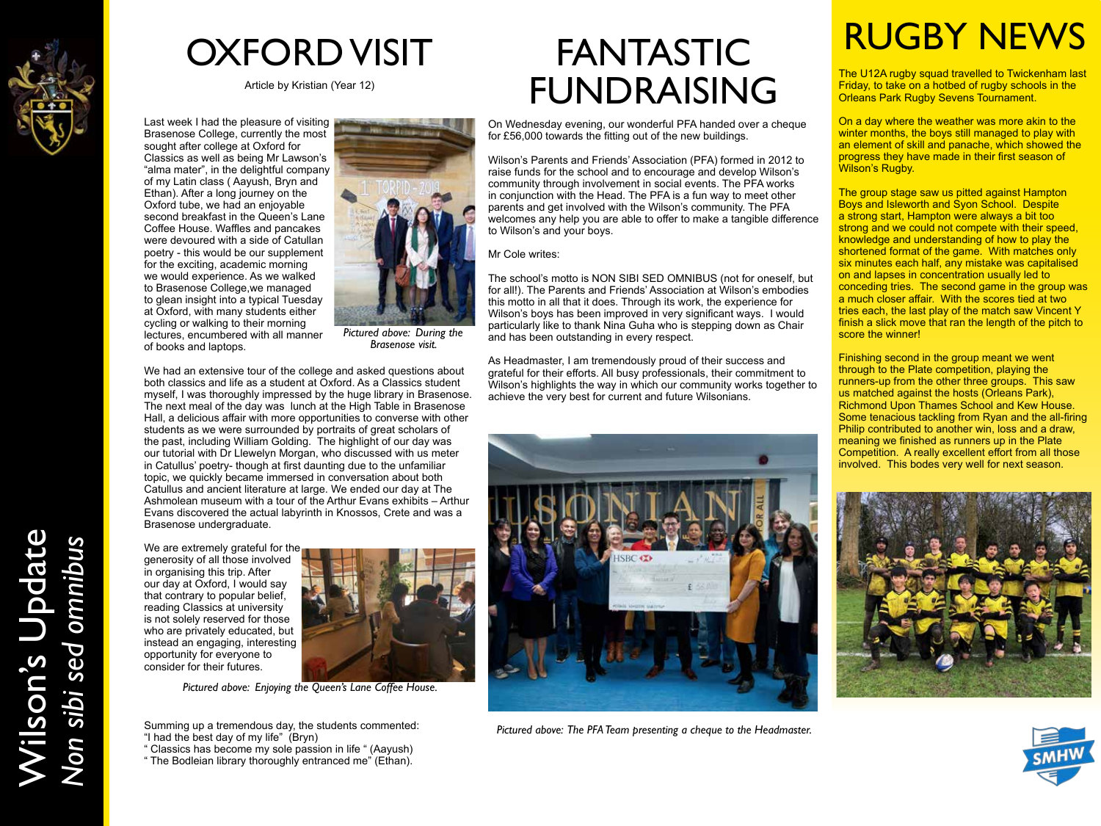![](_page_2_Picture_0.jpeg)

Wilson's Update

Wilson's Update<br>Non sibi sed omnibus

*Non sibi sed omnibus*

OXFORD VISIT

Article by Kristian (Year 12)

Last week I had the pleasure of visiting Brasenose College, currently the most sought after college at Oxford for Classics as well as being Mr Lawson's "alma mater", in the delightful company of my Latin class ( Aayush, Bryn and Ethan). After a long journey on the Oxford tube, we had an enjoyable second breakfast in the Queen's Lane Coffee House. Waffles and pancakes were devoured with a side of Catullan poetry - this would be our supplement for the exciting, academic morning we would experience. As we walked to Brasenose College,we managed to glean insight into a typical Tuesday at Oxford, with many students either cycling or walking to their morning lectures, encumbered with all manner of books and laptops.

![](_page_2_Picture_4.jpeg)

*Pictured above: During the Brasenose visit.*

We had an extensive tour of the college and asked questions about both classics and life as a student at Oxford. As a Classics student myself, I was thoroughly impressed by the huge library in Brasenose. The next meal of the day was lunch at the High Table in Brasenose Hall, a delicious affair with more opportunities to converse with other students as we were surrounded by portraits of great scholars of the past, including William Golding. The highlight of our day was our tutorial with Dr Llewelyn Morgan, who discussed with us meter in Catullus' poetry- though at first daunting due to the unfamiliar topic, we quickly became immersed in conversation about both Catullus and ancient literature at large. We ended our day at The Ashmolean museum with a tour of the Arthur Evans exhibits – Arthur Evans discovered the actual labyrinth in Knossos, Crete and was a Brasenose undergraduate.

We are extremely grateful for the generosity of all those involved in organising this trip. After our day at Oxford, I would say that contrary to popular belief, reading Classics at university is not solely reserved for those who are privately educated, but instead an engaging, interesting opportunity for everyone to consider for their futures.

![](_page_2_Picture_8.jpeg)

*Pictured above: Enjoying the Queen's Lane Coffee House.*

Summing up a tremendous day, the students commented: "I had the best day of my life" (Bryn)

" Classics has become my sole passion in life " (Aayush) " The Bodleian library thoroughly entranced me" (Ethan).

FANTASTIC FUNDRAISING

On Wednesday evening, our wonderful PFA handed over a cheque for £56,000 towards the fitting out of the new buildings.

Wilson's Parents and Friends' Association (PFA) formed in 2012 to raise funds for the school and to encourage and develop Wilson's community through involvement in social events. The PFA works in conjunction with the Head. The PFA is a fun way to meet other parents and get involved with the Wilson's community. The PFA welcomes any help you are able to offer to make a tangible difference to Wilson's and your boys.

Mr Cole writes:

The school's motto is NON SIBI SED OMNIBUS (not for oneself, but for all!). The Parents and Friends' Association at Wilson's embodies this motto in all that it does. Through its work, the experience for Wilson's boys has been improved in very significant ways. I would particularly like to thank Nina Guha who is stepping down as Chair and has been outstanding in every respect.

As Headmaster, I am tremendously proud of their success and grateful for their efforts. All busy professionals, their commitment to Wilson's highlights the way in which our community works together to achieve the very best for current and future Wilsonians.

![](_page_2_Picture_18.jpeg)

*Pictured above: The PFA Team presenting a cheque to the Headmaster.*

# RUGBY NEWS

The U12A rugby squad travelled to Twickenham last Friday, to take on a hotbed of rugby schools in the Orleans Park Rugby Sevens Tournament.

On a day where the weather was more akin to the winter months, the boys still managed to play with an element of skill and panache, which showed the progress they have made in their first season of Wilson's Rugby.

The group stage saw us pitted against Hampton Boys and Isleworth and Syon School. Despite a strong start, Hampton were always a bit too strong and we could not compete with their speed, knowledge and understanding of how to play the shortened format of the game. With matches only six minutes each half, any mistake was capitalised on and lapses in concentration usually led to conceding tries. The second game in the group was a much closer affair. With the scores tied at two tries each, the last play of the match saw Vincent Y finish a slick move that ran the length of the pitch to score the winner!

Finishing second in the group meant we went through to the Plate competition, playing the runners-up from the other three groups. This saw us matched against the hosts (Orleans Park), Richmond Upon Thames School and Kew House. Some tenacious tackling from Ryan and the all-firing Philip contributed to another win, loss and a draw, meaning we finished as runners up in the Plate Competition. A really excellent effort from all those involved. This bodes very well for next season.

![](_page_2_Picture_25.jpeg)

![](_page_2_Picture_26.jpeg)